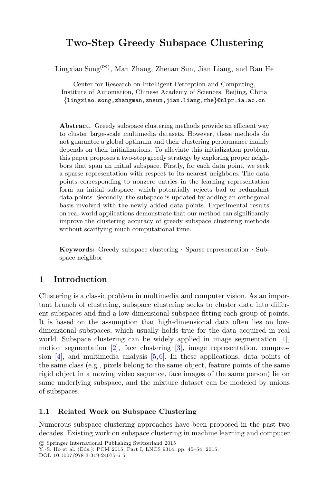# **Two-Step Greedy Subspace Clustering**

Lingxiao $\mathrm{Song}^{(\boxtimes)}$ , Man Zhang, Zhenan Sun, Jian Liang, and Ran He

Center for Research on Intelligent Perception and Computing, Institute of Automation, Chinese Academy of Sciences, Beijing, China *{*lingxiao.song,zhangman,znsun,jian.liang,rhe*}*@nlpr.ia.ac.cn

Abstract. Greedy subspace clustering methods provide an efficient way to cluster large-scale multimedia datasets. However, these methods do not guarantee a global optimum and their clustering performance mainly depends on their initializations. To alleviate this initialization problem, this paper proposes a two-step greedy strategy by exploring proper neighbors that span an initial subspace. Firstly, for each data point, we seek a sparse representation with respect to its nearest neighbors. The data points corresponding to nonzero entries in the learning representation form an initial subspace, which potentially rejects bad or redundant data points. Secondly, the subspace is updated by adding an orthogonal basis involved with the newly added data points. Experimental results on real-world applications demonstrate that our method can significantly improve the clustering accuracy of greedy subspace clustering methods without scarifying much computational time.

**Keywords:** Greedy subspace clustering · Sparse representation · Subspace neighbor

## **1 Introduction**

Clustering is a classic problem in multimedia and computer vision. As an important branch of clustering, subspace clustering seeks to cluster data into different subspaces and find a low-dimensional subspace fitting each group of points. It is based on the assumption that high-dimensional data often lies on lowdimensional subspaces, which usually holds true for the data acquired in real world. Subspace clustering can be widely applied in image segmentation [\[1\]](#page-8-0), motion segmentation [\[2](#page-8-1)], face clustering [\[3\]](#page-8-2), image representation, compression  $[4]$  $[4]$ , and multimedia analysis  $[5,6]$  $[5,6]$  $[5,6]$ . In these applications, data points of the same class (e.g., pixels belong to the same object, feature points of the same rigid object in a moving video sequence, face images of the same person) lie on same underlying subspace, and the mixture dataset can be modeled by unions of subspaces.

#### **1.1 Related Work on Subspace Clustering**

Numerous subspace clustering approaches have been proposed in the past two decades. Existing work on subspace clustering in machine learning and computer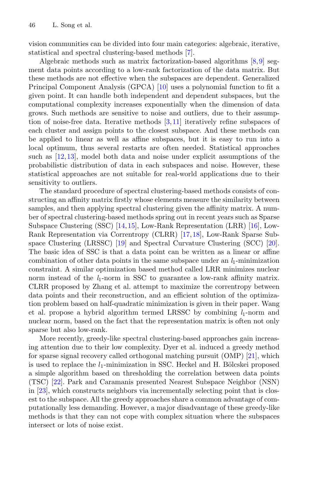vision communities can be divided into four main categories: algebraic, iterative, statistical and spectral clustering-based methods [\[7\]](#page-8-6).

Algebraic methods such as matrix factorization-based algorithms  $[8,9]$  $[8,9]$  $[8,9]$  segment data points according to a low-rank factorization of the data matrix. But these methods are not effective when the subspaces are dependent. Generalized Principal Component Analysis (GPCA) [\[10](#page-8-9)] uses a polynomial function to fit a given point. It can handle both independent and dependent subspaces, but the computational complexity increases exponentially when the dimension of data grows. Such methods are sensitive to noise and outliers, due to their assumption of noise-free data. Iterative methods [\[3,](#page-8-2)[11\]](#page-8-10) iteratively refine subspaces of each cluster and assign points to the closest subspace. And these methods can be applied to linear as well as affine subspaces, but it is easy to run into a local optimum, thus several restarts are often needed. Statistical approaches such as [\[12,](#page-9-0)[13](#page-9-1)], model both data and noise under explicit assumptions of the probabilistic distribution of data in each subspaces and noise. However, these statistical approaches are not suitable for real-world applications due to their sensitivity to outliers.

The standard procedure of spectral clustering-based methods consists of constructing an affinity matrix firstly whose elements measure the similarity between samples, and then applying spectral clustering given the affinity matrix. A number of spectral clustering-based methods spring out in recent years such as Sparse Subspace Clustering (SSC) [\[14](#page-9-2)[,15](#page-9-3)], Low-Rank Representation (LRR) [\[16](#page-9-4)], Low-Rank Representation via Correntropy (CLRR) [\[17,](#page-9-5)[18](#page-9-6)], Low-Rank Sparse Subspace Clustering (LRSSC) [\[19\]](#page-9-7) and Spectral Curvature Clustering (SCC) [\[20\]](#page-9-8). The basic idea of SSC is that a data point can be written as a linear or affine combination of other data points in the same subspace under an *l*1-minimization constraint. A similar optimization based method called LRR minimizes nuclear norm instead of the  $l_1$ -norm in SSC to guarantee a low-rank affinity matrix. CLRR proposed by Zhang et al. attempt to maximize the correntropy between data points and their reconstruction, and an efficient solution of the optimization problem based on half-quadratic minimization is given in their paper. Wang et al. propose a hybrid algorithm termed LRSSC by combining  $l_1$ -norm and nuclear norm, based on the fact that the representation matrix is often not only sparse but also low-rank.

More recently, greedy-like spectral clustering-based approaches gain increasing attention due to their low complexity. Dyer et al. induced a greedy method for sparse signal recovery called orthogonal matching pursuit (OMP) [\[21\]](#page-9-9), which is used to replace the  $l_1$ -minimization in SSC. Heckel and H. Bölcskei proposed a simple algorithm based on thresholding the correlation between data points (TSC) [\[22\]](#page-9-10). Park and Caramanis presented Nearest Subspace Neighbor (NSN) in [\[23](#page-9-11)], which constructs neighbors via incrementally selecting point that is closest to the subspace. All the greedy approaches share a common advantage of computationally less demanding. However, a major disadvantage of these greedy-like methods is that they can not cope with complex situation where the subspaces intersect or lots of noise exist.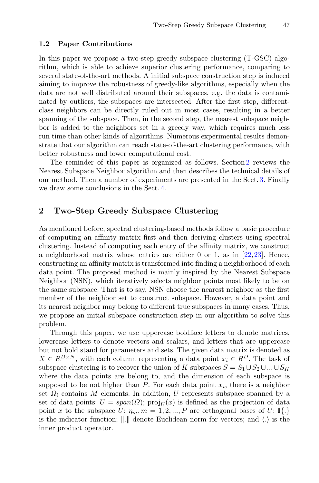#### **1.2 Paper Contributions**

In this paper we propose a two-step greedy subspace clustering (T-GSC) algorithm, which is able to achieve superior clustering performance, comparing to several state-of-the-art methods. A initial subspace construction step is induced aiming to improve the robustness of greedy-like algorithms, especially when the data are not well distributed around their subspaces, e.g. the data is contaminated by outliers, the subspaces are intersected. After the first step, differentclass neighbors can be directly ruled out in most cases, resulting in a better spanning of the subspace. Then, in the second step, the nearest subspace neighbor is added to the neighbors set in a greedy way, which requires much less run time than other kinds of algorithms. Numerous experimental results demonstrate that our algorithm can reach state-of-the-art clustering performance, with better robustness and lower computational cost.

The reminder of this paper is organized as follows. Section [2](#page-2-0) reviews the Nearest Subspace Neighbor algorithm and then describes the technical details of our method. Then a number of experiments are presented in the Sect. [3.](#page-4-0) Finally we draw some conclusions in the Sect. [4.](#page-8-11)

### <span id="page-2-0"></span>**2 Two-Step Greedy Subspace Clustering**

As mentioned before, spectral clustering-based methods follow a basic procedure of computing an affinity matrix first and then deriving clusters using spectral clustering. Instead of computing each entry of the affinity matrix, we construct a neighborhood matrix whose entries are either 0 or 1, as in [\[22](#page-9-10)[,23](#page-9-11)]. Hence, constructing an affinity matrix is transformed into finding a neighborhood of each data point. The proposed method is mainly inspired by the Nearest Subspace Neighbor (NSN), which iteratively selects neighbor points most likely to be on the same subspace. That is to say, NSN choose the nearest neighbor as the first member of the neighbor set to construct subspace. However, a data point and its nearest neighbor may belong to different true subspaces in many cases. Thus, we propose an initial subspace construction step in our algorithm to solve this problem.

Through this paper, we use uppercase boldface letters to denote matrices, lowercase letters to denote vectors and scalars, and letters that are uppercase but not bold stand for parameters and sets. The given data matrix is denoted as  $X \in R^{D \times N}$ , with each column representing a data point  $x_i \in R^D$ . The task of subspace clustering is to recover the union of K subspaces  $S = S_1 \cup S_2 \cup ... \cup S_K$ where the data points are belong to, and the dimension of each subspace is supposed to be not higher than P. For each data point  $x_i$ , there is a neighbor set  $\Omega_i$  contains M elements. In addition, U represents subspace spanned by a set of data points:  $U = span(\Omega)$ ; proj $_U(x)$  is defined as the projection of data point x to the subspace U;  $\eta_m$ ,  $m = 1, 2, ..., P$  are orthogonal bases of U;  $\mathbb{I}\{\cdot\}$ is the indicator function;  $\|.\|$  denote Euclidean norm for vectors; and  $\langle .\rangle$  is the inner product operator.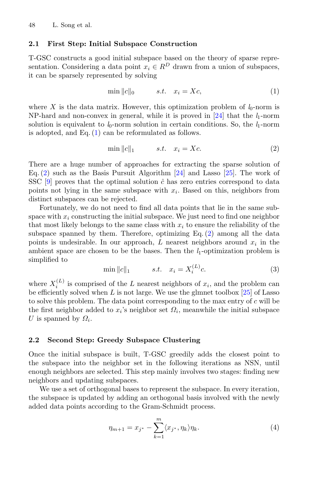#### **2.1 First Step: Initial Subspace Construction**

<span id="page-3-0"></span>T-GSC constructs a good initial subspace based on the theory of sparse representation. Considering a data point  $x_i \in R^D$  drawn from a union of subspaces, it can be sparsely represented by solving

$$
\min ||c||_0 \qquad s.t. \quad x_i = Xc,
$$
\n<sup>(1)</sup>

where X is the data matrix. However, this optimization problem of  $l_0$ -norm is NP-hard and non-convex in general, while it is proved in  $[24]$  $[24]$  that the  $l_1$ -norm solution is equivalent to  $l_0$ -norm solution in certain conditions. So, the  $l_1$ -norm is adopted, and Eq. [\(1\)](#page-3-0) can be reformulated as follows.

$$
\min ||c||_1 \qquad s.t. \quad x_i = Xc. \tag{2}
$$

<span id="page-3-1"></span>There are a huge number of approaches for extracting the sparse solution of Eq.  $(2)$  such as the Basis Pursuit Algorithm  $[24]$  $[24]$  and Lasso  $[25]$ . The work of SSC  $[9]$  $[9]$  proves that the optimal solution  $\hat{c}$  has zero entries correspond to data points not lying in the same subspace with  $x_i$ . Based on this, neighbors from distinct subspaces can be rejected.

Fortunately, we do not need to find all data points that lie in the same subspace with  $x_i$  constructing the initial subspace. We just need to find one neighbor that most likely belongs to the same class with  $x_i$  to ensure the reliability of the subspace spanned by them. Therefore, optimizing Eq. [\(2\)](#page-3-1) among all the data points is undesirable. In our approach, L nearest neighbors around  $x_i$  in the ambient space are chosen to be the bases. Then the  $l_1$ -optimization problem is simplified to

$$
\min ||c||_1 \qquad s.t. \quad x_i = X_i^{(L)}c. \tag{3}
$$

<span id="page-3-2"></span>where  $X_i^{(L)}$  is comprised of the L nearest neighbors of  $x_i$ , and the problem can be efficiently solved when  $L$  is not large. We use the glmnet toolbox  $[25]$  of Lasso to solve this problem. The data point corresponding to the max entry of  $c$  will be the first neighbor added to  $x_i$ 's neighbor set  $\Omega_i$ , meanwhile the initial subspace U is spanned by  $\Omega_i$ .

#### **2.2 Second Step: Greedy Subspace Clustering**

Once the initial subspace is built, T-GSC greedily adds the closest point to the subspace into the neighbor set in the following iterations as NSN, until enough neighbors are selected. This step mainly involves two stages: finding new neighbors and updating subspaces.

We use a set of orthogonal bases to represent the subspace. In every iteration, the subspace is updated by adding an orthogonal basis involved with the newly added data points according to the Gram-Schmidt process.

$$
\eta_{m+1} = x_{j^*} - \sum_{k=1}^m \langle x_{j^*}, \eta_k \rangle \eta_k. \tag{4}
$$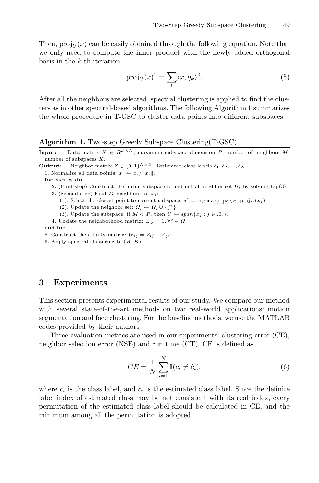Then,  $proj_U(x)$  can be easily obtained through the following equation. Note that we only need to compute the inner product with the newly added orthogonal basis in the k-th iteration.

$$
\text{proj}_U(x)^2 = \sum_k \langle x, \eta_k \rangle^2. \tag{5}
$$

After all the neighbors are selected, spectral clustering is applied to find the clusters as in other spectral-based algorithms. The following Algorithm 1 summarizes the whole procedure in T-GSC to cluster data points into different subspaces.

#### **Algorithm 1.** Two-step Greedy Subspace Clustering(T-GSC)

- **Input:** Data matrix  $X \in R^{D \times N}$ , maximum subspace dimension P, number of neighbors M, number of subspaces K.
- **Output:** Neighbor matrix  $Z \in \{0, 1\}^{N \times N}$ . Estimated class labels  $\hat{c}_1, \hat{c}_2, ..., \hat{c}_N$ .
	- 1. Normalize all data points:  $x_i \leftarrow x_i / ||x_i||$ ;

for each  $x_i$  **do** 

- 2. (First step) Construct the initial subspace U and initial neighbor set  $\Omega_i$  by solving Eq.[\(3\)](#page-3-2);
- 3. (Second step) Find M neighbors for  $x_i$ :
	- (1). Select the closest point to current subspace:  $j^* = \arg \max_{i \in [N] \setminus \Omega_i} \text{proj}_{U}(x_i);$
	- (2). Update the neighbor set:  $\Omega_i \leftarrow \Omega_i \cup \{j^*\};$
	- (3). Update the subspace: if  $M < P$ , then  $U \leftarrow span\{x_j : j \in \Omega_i\};$
- 4. Update the neighborhood matrix:  $Z_{ij} = 1, \forall j \in \Omega_i;$

**end for**

- 5. Construct the affinity matrix:  $W_{ij} = Z_{ij} + Z_{ji}$ ;
- 6. Apply spectral clustering to  $(W, K)$ .

#### <span id="page-4-0"></span>**3 Experiments**

This section presents experimental results of our study. We compare our method with several state-of-the-art methods on two real-world applications: motion segmentation and face clustering. For the baseline methods, we use the MATLAB codes provided by their authors.

Three evaluation metrics are used in our experiments: clustering error (CE), neighbor selection error (NSE) and run time (CT). CE is defined as

$$
CE = \frac{1}{N} \sum_{i=1}^{N} \mathbb{I}(c_i \neq \hat{c}_i),\tag{6}
$$

where  $c_i$  is the class label, and  $\hat{c}_i$  is the estimated class label. Since the definite label index of estimated class may be not consistent with its real index, every permutation of the estimated class label should be calculated in CE, and the minimum among all the permutation is adopted.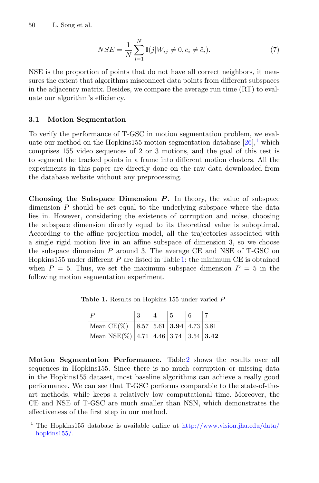$$
NSE = \frac{1}{N} \sum_{i=1}^{N} \mathbb{I}(j|W_{ij} \neq 0, c_i \neq \hat{c}_i).
$$
 (7)

NSE is the proportion of points that do not have all correct neighbors, it measures the extent that algorithms misconnect data points from different subspaces in the adjacency matrix. Besides, we compare the average run time (RT) to evaluate our algorithm's efficiency.

### **3.1 Motion Segmentation**

To verify the performance of T-GSC in motion segmentation problem, we eval-uate our method on the Hopkins[1](#page-5-0)55 motion segmentation database  $[26]$ , which comprises 155 video sequences of 2 or 3 motions, and the goal of this test is to segment the tracked points in a frame into different motion clusters. All the experiments in this paper are directly done on the raw data downloaded from the database website without any preprocessing.

**Choosing the Subspace Dimension** *P* **.** In theory, the value of subspace dimension  $P$  should be set equal to the underlying subspace where the data lies in. However, considering the existence of corruption and noise, choosing the subspace dimension directly equal to its theoretical value is suboptimal. According to the affine projection model, all the trajectories associated with a single rigid motion live in an affine subspace of dimension 3, so we choose the subspace dimension P around 3. The average CE and NSE of T-GSC on Hopkins155 under different  $P$  are listed in Table [1:](#page-5-1) the minimum CE is obtained when  $P = 5$ . Thus, we set the maximum subspace dimension  $P = 5$  in the following motion segmentation experiment.

| $\overline{P}$                                           | $\overline{4}$ | $+5$ | -6 |  |
|----------------------------------------------------------|----------------|------|----|--|
| Mean CE $(\%)$   8.57   5.61   <b>3.94</b>   4.73   3.81 |                |      |    |  |
| Mean NSE(%)   4.71   4.46   3.74   3.54   <b>3.42</b>    |                |      |    |  |

**Table 1.** Results on Hopkins 155 under varied *P*

<span id="page-5-1"></span>**Motion Segmentation Performance.** Table [2](#page-6-0) shows the results over all sequences in Hopkins155. Since there is no much corruption or missing data in the Hopkins155 dataset, most baseline algorithms can achieve a really good performance. We can see that T-GSC performs comparable to the state-of-theart methods, while keeps a relatively low computational time. Moreover, the CE and NSE of T-GSC are much smaller than NSN, which demonstrates the effectiveness of the first step in our method.

<span id="page-5-0"></span><sup>&</sup>lt;sup>1</sup> The Hopkins155 database is available online at [http://www.vision.jhu.edu/data/](http://www.vision.jhu.edu/data/hopkins155/) [hopkins155/.](http://www.vision.jhu.edu/data/hopkins155/)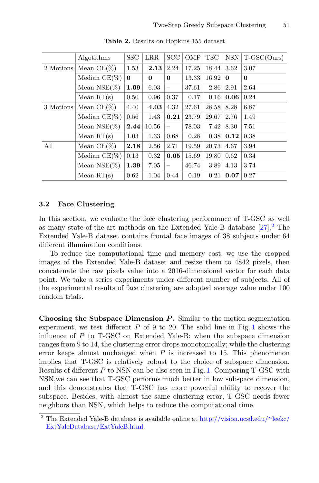<span id="page-6-0"></span>

|           | Algotithms      | <b>SSC</b>   | <b>LRR</b>   | SCC                      | OMP   | <b>TSC</b> | <b>NSN</b> | $T-GSC(Ours)$ |
|-----------|-----------------|--------------|--------------|--------------------------|-------|------------|------------|---------------|
| 2 Motions | Mean $CE(\%)$   | 1.53         | 2.13         | 2.24                     | 17.25 | 18.44      | 3.62       | 3.07          |
|           | Median $CE(\%)$ | $\mathbf{0}$ | $\mathbf{0}$ | $\mathbf{0}$             | 13.33 | 16.92      | $\bf{0}$   | $\bf{0}$      |
|           | Mean $NSE(\%)$  | 1.09         | 6.03         | $\equiv$                 | 37.61 | 2.86       | 2.91       | 2.64          |
|           | Mean $RT(s)$    | 0.50         | 0.96         | 0.37                     | 0.17  | 0.16       | 0.06       | 0.24          |
| 3 Motions | Mean $CE(\%)$   | 4.40         | 4.03         | 4.32                     | 27.61 | 28.58      | 8.28       | 6.87          |
|           | Median $CE(\%)$ | 0.56         | 1.43         | 0.21                     | 23.79 | 29.67      | 2.76       | 1.49          |
|           | Mean $NSE(\%)$  | 2.44         | 10.56        | $\overline{\phantom{m}}$ | 78.03 | 7.42       | 8.30       | 7.51          |
|           | Mean $RT(s)$    | 1.03         | 1.33         | 0.68                     | 0.28  | 0.38       | 0.12       | 0.38          |
| All       | Mean $CE(\%)$   | 2.18         | 2.56         | 2.71                     | 19.59 | 20.73      | 4.67       | 3.94          |
|           | Median $CE(\%)$ | 0.13         | 0.32         | 0.05                     | 15.69 | 19.80      | 0.62       | 0.34          |
|           | Mean $NSE(\%)$  | 1.39         | 7.05         | $\overline{\phantom{m}}$ | 46.74 | 3.89       | 4.13       | 3.74          |
|           | Mean $RT(s)$    | 0.62         | 1.04         | 0.44                     | 0.19  | 0.21       | 0.07       | 0.27          |

**Table 2.** Results on Hopkins 155 dataset

#### **3.2 Face Clustering**

In this section, we evaluate the face clustering performance of T-GSC as well as many state-of-the-art methods on the Extended Yale-B database [\[27](#page-9-15)].[2](#page-6-1) The Extended Yale-B dataset contains frontal face images of 38 subjects under 64 different illumination conditions.

To reduce the computational time and memory cost, we use the cropped images of the Extended Yale-B dataset and resize them to 4842 pixels, then concatenate the raw pixels value into a 2016-dimensional vector for each data point. We take a series experiments under different number of subjects. All of the experimental results of face clustering are adopted average value under 100 random trials.

**Choosing the Subspace Dimension** *P* **.** Similar to the motion segmentation experiment, we test different  $P$  of 9 to 20. The solid line in Fig. [1](#page-7-0) shows the influence of P to T-GSC on Extended Yale-B: when the subspace dimension ranges from 9 to 14, the clustering error drops monotonically; while the clustering error keeps almost unchanged when  $P$  is increased to 15. This phenomenon implies that T-GSC is relatively robust to the choice of subspace dimension. Results of different P to NSN can be also seen in Fig. [1.](#page-7-0) Comparing T-GSC with NSN,we can see that T-GSC performs much better in low subspace dimension, and this demonstrates that T-GSC has more powerful ability to recover the subspace. Besides, with almost the same clustering error, T-GSC needs fewer neighbors than NSN, which helps to reduce the computational time.

<span id="page-6-1"></span> $^2$  The Extended Yale-B database is available online at [http://vision.ucsd.edu/](http://vision.ucsd.edu/~leekc/ExtYaleDatabase/ExtYaleB.html)∼leekc/ [ExtYaleDatabase/ExtYaleB.html.](http://vision.ucsd.edu/~leekc/ExtYaleDatabase/ExtYaleB.html)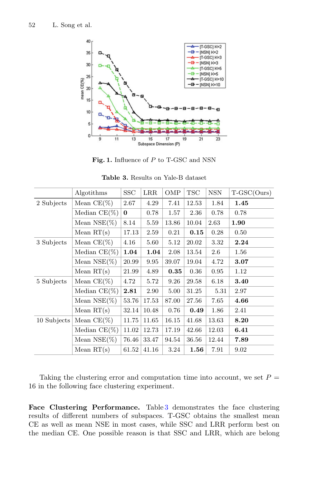

**Fig. 1.** Influence of *P* to T-GSC and NSN

<span id="page-7-1"></span>

|             | Algotithms      | SSC      | LRR   | OMP   | <b>TSC</b> | <b>NSN</b> | $T-GSC(Ours)$ |
|-------------|-----------------|----------|-------|-------|------------|------------|---------------|
| 2 Subjects  | Mean $CE(\%)$   | 2.67     | 4.29  | 7.41  | 12.53      | 1.84       | 1.45          |
|             | Median $CE(\%)$ | $\bf{0}$ | 0.78  | 1.57  | 2.36       | 0.78       | 0.78          |
|             | Mean $NSE(\%)$  | 8.14     | 5.59  | 13.86 | 10.04      | 2.63       | 1.90          |
|             | Mean $RT(s)$    | 17.13    | 2.59  | 0.21  | 0.15       | 0.28       | 0.50          |
| 3 Subjects  | Mean $CE(\%)$   | 4.16     | 5.60  | 5.12  | 20.02      | 3.32       | 2.24          |
|             | Median $CE(\%)$ | 1.04     | 1.04  | 2.08  | 13.54      | $2.6\,$    | 1.56          |
|             | Mean $NSE(\%)$  | 20.99    | 9.95  | 39.07 | 19.04      | 4.72       | 3.07          |
|             | Mean $RT(s)$    | 21.99    | 4.89  | 0.35  | 0.36       | 0.95       | 1.12          |
| 5 Subjects  | Mean $CE(\%)$   | 4.72     | 5.72  | 9.26  | 29.58      | 6.18       | 3.40          |
|             | Median $CE(\%)$ | 2.81     | 2.90  | 5.00  | 31.25      | 5.31       | 2.97          |
|             | Mean $NSE(\%)$  | 53.76    | 17.53 | 87.00 | 27.56      | 7.65       | 4.66          |
|             | Mean $RT(s)$    | 32.14    | 10.48 | 0.76  | 0.49       | 1.86       | 2.41          |
| 10 Subjects | Mean $CE(\%)$   | 11.75    | 11.65 | 16.15 | 41.68      | 13.63      | 8.20          |
|             | Median $CE(\%)$ | 11.02    | 12.73 | 17.19 | 42.66      | 12.03      | 6.41          |
|             | Mean $NSE(\%)$  | 76.46    | 33.47 | 94.54 | 36.56      | 12.44      | 7.89          |
|             | Mean $RT(s)$    | 61.52    | 41.16 | 3.24  | 1.56       | 7.91       | 9.02          |

<span id="page-7-0"></span>**Table 3.** Results on Yale-B dataset

Taking the clustering error and computation time into account, we set  $P =$ 16 in the following face clustering experiment.

Face Clustering Performance. Table [3](#page-7-1) demonstrates the face clustering results of different numbers of subspaces. T-GSC obtains the smallest mean CE as well as mean NSE in most cases, while SSC and LRR perform best on the median CE. One possible reason is that SSC and LRR, which are belong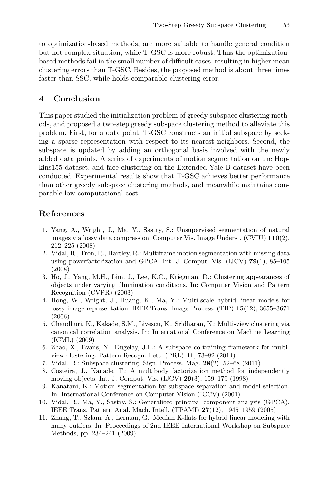to optimization-based methods, are more suitable to handle general condition but not complex situation, while T-GSC is more robust. Thus the optimizationbased methods fail in the small number of difficult cases, resulting in higher mean clustering errors than T-GSC. Besides, the proposed method is about three times faster than SSC, while holds comparable clustering error.

## <span id="page-8-11"></span>**4 Conclusion**

This paper studied the initialization problem of greedy subspace clustering methods, and proposed a two-step greedy subspace clustering method to alleviate this problem. First, for a data point, T-GSC constructs an initial subspace by seeking a sparse representation with respect to its nearest neighbors. Second, the subspace is updated by adding an orthogonal basis involved with the newly added data points. A series of experiments of motion segmentation on the Hopkins155 dataset, and face clustering on the Extended Yale-B dataset have been conducted. Experimental results show that T-GSC achieves better performance than other greedy subspace clustering methods, and meanwhile maintains comparable low computational cost.

## <span id="page-8-0"></span>**References**

- 1. Yang, A., Wright, J., Ma, Y., Sastry, S.: Unsupervised segmentation of natural images via lossy data compression. Computer Vis. Image Underst. (CVIU) **110**(2), 212–225 (2008)
- <span id="page-8-1"></span>2. Vidal, R., Tron, R., Hartley, R.: Multiframe motion segmentation with missing data using powerfactorization and GPCA. Int. J. Comput. Vis. (IJCV) **79**(1), 85–105 (2008)
- <span id="page-8-2"></span>3. Ho, J., Yang, M.H., Lim, J., Lee, K.C., Kriegman, D.: Clustering appearances of objects under varying illumination conditions. In: Computer Vision and Pattern Recognition (CVPR) (2003)
- <span id="page-8-3"></span>4. Hong, W., Wright, J., Huang, K., Ma, Y.: Multi-scale hybrid linear models for lossy image representation. IEEE Trans. Image Process. (TIP) **15**(12), 3655–3671 (2006)
- <span id="page-8-4"></span>5. Chaudhuri, K., Kakade, S.M., Livescu, K., Sridharan, K.: Multi-view clustering via canonical correlation analysis. In: International Conference on Machine Learning (ICML) (2009)
- <span id="page-8-5"></span>6. Zhao, X., Evans, N., Dugelay, J.L.: A subspace co-training framework for multiview clustering. Pattern Recogn. Lett. (PRL) **41**, 73–82 (2014)
- <span id="page-8-6"></span>7. Vidal, R.: Subspace clustering. Sign. Process. Mag. **28**(2), 52–68 (2011)
- <span id="page-8-7"></span>8. Costeira, J., Kanade, T.: A multibody factorization method for independently moving objects. Int. J. Comput. Vis. (IJCV) **29**(3), 159–179 (1998)
- <span id="page-8-8"></span>9. Kanatani, K.: Motion segmentation by subspace separation and model selection. In: International Conference on Computer Vision (ICCV) (2001)
- <span id="page-8-9"></span>10. Vidal, R., Ma, Y., Sastry, S.: Generalized principal component analysis (GPCA). IEEE Trans. Pattern Anal. Mach. Intell. (TPAMI) **27**(12), 1945–1959 (2005)
- <span id="page-8-10"></span>11. Zhang, T., Szlam, A., Lerman, G.: Median K-flats for hybrid linear modeling with many outliers. In: Proceedings of 2nd IEEE International Workshop on Subspace Methods, pp. 234–241 (2009)